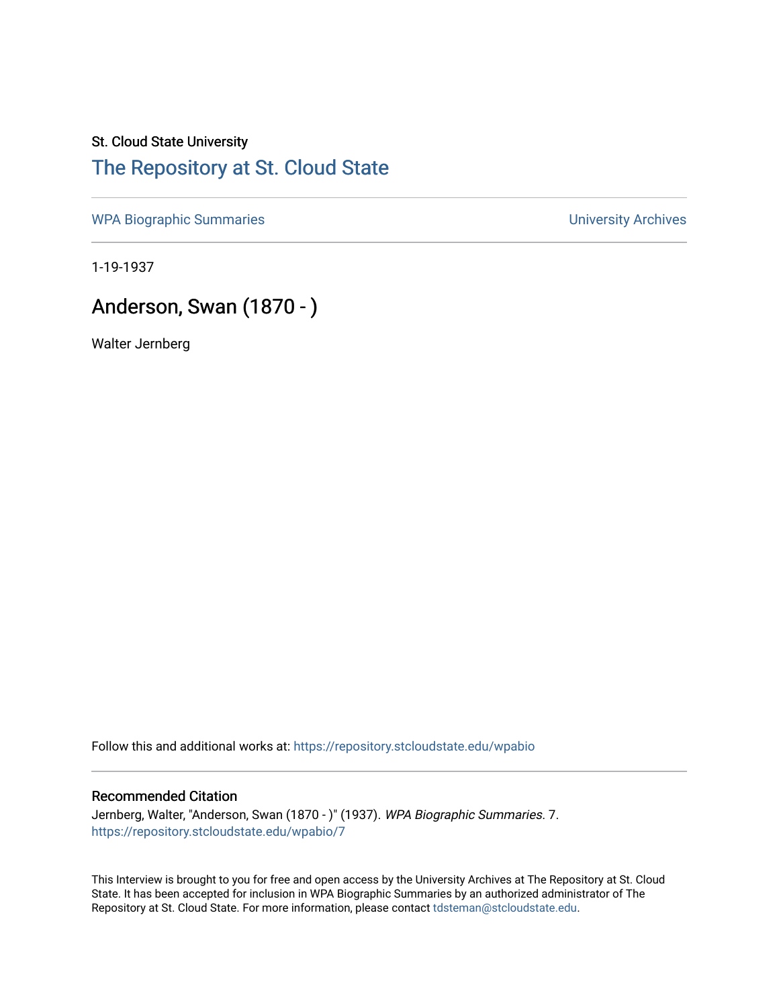## St. Cloud State University [The Repository at St. Cloud State](https://repository.stcloudstate.edu/)

[WPA Biographic Summaries](https://repository.stcloudstate.edu/wpabio) **WPA Biographic Summaries University Archives** 

1-19-1937

# Anderson, Swan (1870 - )

Walter Jernberg

Follow this and additional works at: [https://repository.stcloudstate.edu/wpabio](https://repository.stcloudstate.edu/wpabio?utm_source=repository.stcloudstate.edu%2Fwpabio%2F7&utm_medium=PDF&utm_campaign=PDFCoverPages) 

#### Recommended Citation

Jernberg, Walter, "Anderson, Swan (1870 - )" (1937). WPA Biographic Summaries. 7. [https://repository.stcloudstate.edu/wpabio/7](https://repository.stcloudstate.edu/wpabio/7?utm_source=repository.stcloudstate.edu%2Fwpabio%2F7&utm_medium=PDF&utm_campaign=PDFCoverPages) 

This Interview is brought to you for free and open access by the University Archives at The Repository at St. Cloud State. It has been accepted for inclusion in WPA Biographic Summaries by an authorized administrator of The Repository at St. Cloud State. For more information, please contact [tdsteman@stcloudstate.edu.](mailto:tdsteman@stcloudstate.edu)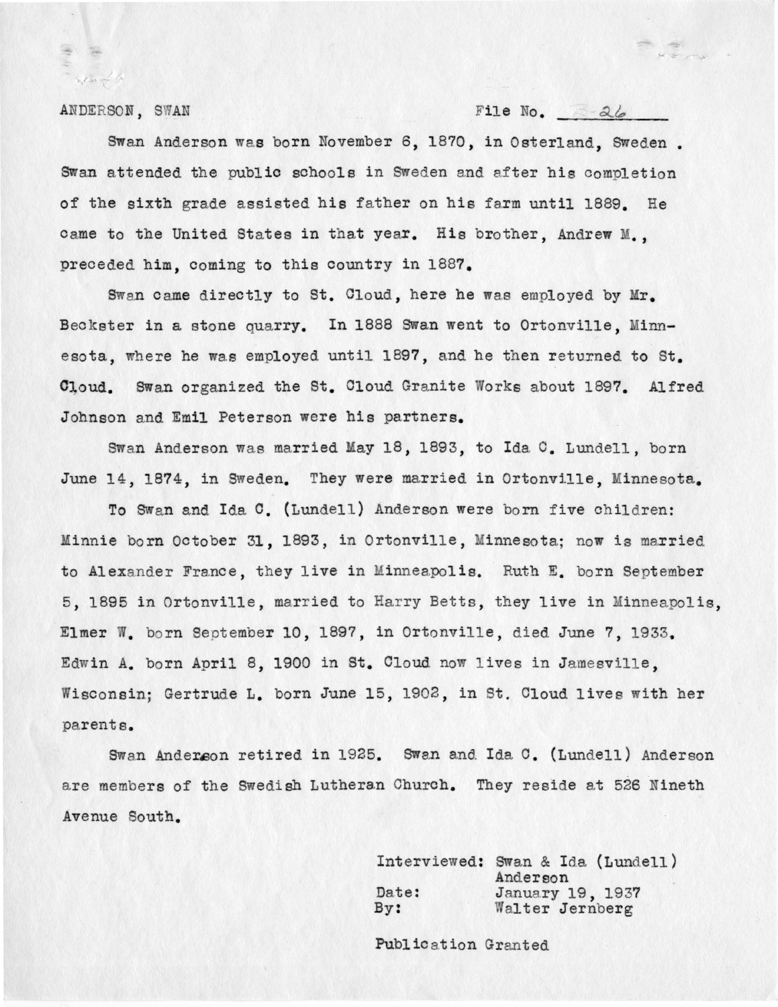$s$  ,  $r$  is  $r$  . In

ANDERSON, SWAN File No. 26

Swan Anderson was born November 6, 1870, in Osterland, Sweden. Swan attended the public schools in Sweden and after his completion of the sixth grade assisted his father on his farm until 1889. He came to the United States in that year. His brother, Andrew M., preceded him, coming to this country in 1887.

Swan came directly to St. Cloud, here he was employed by Mr. Beckster in a stone quarry. In 1888 Swan went to Ortonville, Minnesota, where he was employed until 1897, and he then returned to St. Cloud. Swan organized the St. Cloud Granite Works about 1897. Alfred Johnson and Emil Peterson were his partners.

Swan Anderson was married May 18, 1893, to Ida C. Lundell, born June 14, 1874, in Sweden. They were married in Ortonville, Minnesota.

To Swan and Ida C. (Lundell) Anderson were born five children: Minnie born October 31, 1893, in Ortonville, Minnesota; now is married to Alexander France, they live in Minneapolis. Ruth E. born September <sup>5</sup> , 1895 in Ortonville, married to Harry Betts, they live in Minneapolis, Elmer W. born September 10, 1897, in Ortonville, died June 7, 1933. Edwin A. born April 8, 1900 in St. Cloud now lives in Jamesville. Wisconsin; Gertrude L. born June 15, 1902, in St. Cloud lives with her parents.

Swan Anderson retired in 1925. Swan and Ida C. (Lundell) Anderson are members of the Swedish Lutheran Church. They reside at 526 Nineth Avenue South.

> Interviewed: Swan & Ida (Lundell) Date: By : Anderson January 19, 1937 Walter Jernberg

Public ation Granted